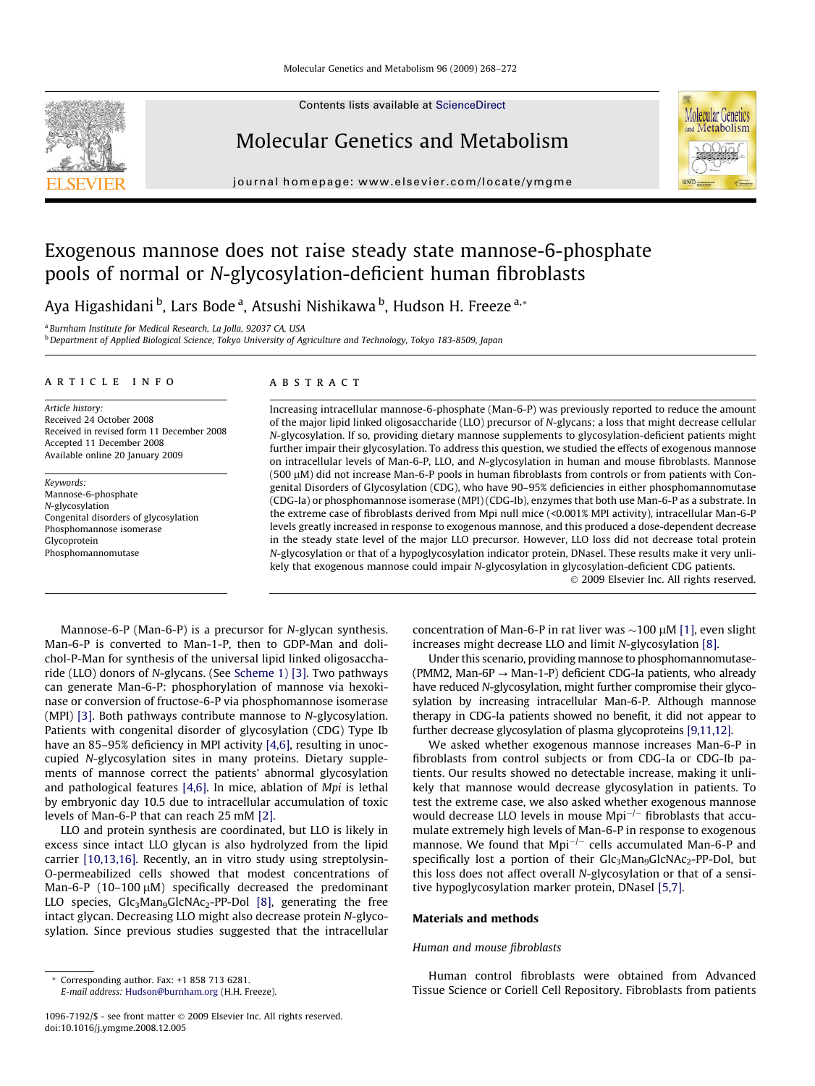Contents lists available at [ScienceDirect](http://www.sciencedirect.com/science/journal/10967192)

# Molecular Genetics and Metabolism

journal homepage: [www.elsevier.com/locate/ymgme](http://www.elsevier.com/locate/ymgme)

# Exogenous mannose does not raise steady state mannose-6-phosphate pools of normal or N-glycosylation-deficient human fibroblasts

Aya Higashidani <sup>b</sup>, Lars Bode <sup>a</sup>, Atsushi Nishikawa <sup>b</sup>, Hudson H. Freeze <sup>a,</sup>\*

<sup>a</sup> Burnham Institute for Medical Research, La Jolla, 92037 CA, USA

<sup>b</sup> Department of Applied Biological Science, Tokyo University of Agriculture and Technology, Tokyo 183-8509, Japan

#### article info

Article history: Received 24 October 2008 Received in revised form 11 December 2008 Accepted 11 December 2008 Available online 20 January 2009

Keywords: Mannose-6-phosphate N-glycosylation Congenital disorders of glycosylation Phosphomannose isomerase Glycoprotein Phosphomannomutase

## **ABSTRACT**

Increasing intracellular mannose-6-phosphate (Man-6-P) was previously reported to reduce the amount of the major lipid linked oligosaccharide (LLO) precursor of N-glycans; a loss that might decrease cellular N-glycosylation. If so, providing dietary mannose supplements to glycosylation-deficient patients might further impair their glycosylation. To address this question, we studied the effects of exogenous mannose on intracellular levels of Man-6-P, LLO, and N-glycosylation in human and mouse fibroblasts. Mannose  $(500 \mu)$  did not increase Man-6-P pools in human fibroblasts from controls or from patients with Congenital Disorders of Glycosylation (CDG), who have 90–95% deficiencies in either phosphomannomutase (CDG-Ia) or phosphomannose isomerase (MPI) (CDG-Ib), enzymes that both use Man-6-P as a substrate. In the extreme case of fibroblasts derived from Mpi null mice (<0.001% MPI activity), intracellular Man-6-P levels greatly increased in response to exogenous mannose, and this produced a dose-dependent decrease in the steady state level of the major LLO precursor. However, LLO loss did not decrease total protein N-glycosylation or that of a hypoglycosylation indicator protein, DNaseI. These results make it very unlikely that exogenous mannose could impair N-glycosylation in glycosylation-deficient CDG patients.

- 2009 Elsevier Inc. All rights reserved.

**Molecular Genetics** and Metabolism

Mannose-6-P (Man-6-P) is a precursor for N-glycan synthesis. Man-6-P is converted to Man-1-P, then to GDP-Man and dolichol-P-Man for synthesis of the universal lipid linked oligosaccharide (LLO) donors of N-glycans. (See [Scheme](#page-1-0) [1\) \[3\].](#page-4-0) Two pathways can generate Man-6-P: phosphorylation of mannose via hexokinase or conversion of fructose-6-P via phosphomannose isomerase (MPI) [\[3\]](#page-4-0). Both pathways contribute mannose to N-glycosylation. Patients with congenital disorder of glycosylation (CDG) Type Ib have an 85-95% deficiency in MPI activity [\[4,6\],](#page-4-0) resulting in unoccupied N-glycosylation sites in many proteins. Dietary supplements of mannose correct the patients' abnormal glycosylation and pathological features [\[4,6\].](#page-4-0) In mice, ablation of Mpi is lethal by embryonic day 10.5 due to intracellular accumulation of toxic levels of Man-6-P that can reach 25 mM [\[2\].](#page-4-0)

LLO and protein synthesis are coordinated, but LLO is likely in excess since intact LLO glycan is also hydrolyzed from the lipid carrier [\[10,13,16\]](#page-4-0). Recently, an in vitro study using streptolysin-O-permeabilized cells showed that modest concentrations of Man-6-P  $(10-100 \mu M)$  specifically decreased the predominant LLO species,  $Glc_3Man_9GlcNAc_2-PP-Dol$  [\[8\]](#page-4-0), generating the free intact glycan. Decreasing LLO might also decrease protein N-glycosylation. Since previous studies suggested that the intracellular

E-mail address: [Hudson@burnham.org](mailto:Hudson@burnham.org) (H.H. Freeze).

concentration of Man-6-P in rat liver was  $\sim$ 100  $\mu$ M [\[1\],](#page-4-0) even slight increases might decrease LLO and limit N-glycosylation [\[8\]](#page-4-0).

Under this scenario, providing mannose to phosphomannomutase- (PMM2, Man-6P  $\rightarrow$  Man-1-P) deficient CDG-Ia patients, who already have reduced N-glycosylation, might further compromise their glycosylation by increasing intracellular Man-6-P. Although mannose therapy in CDG-Ia patients showed no benefit, it did not appear to further decrease glycosylation of plasma glycoproteins [\[9,11,12\]](#page-4-0).

We asked whether exogenous mannose increases Man-6-P in fibroblasts from control subjects or from CDG-Ia or CDG-Ib patients. Our results showed no detectable increase, making it unlikely that mannose would decrease glycosylation in patients. To test the extreme case, we also asked whether exogenous mannose would decrease LLO levels in mouse  $Mpi^{-/-}$  fibroblasts that accumulate extremely high levels of Man-6-P in response to exogenous mannose. We found that  $Mpi^{-/-}$  cells accumulated Man-6-P and specifically lost a portion of their Glc<sub>3</sub>Man<sub>9</sub>GlcNAc<sub>2</sub>-PP-Dol, but this loss does not affect overall N-glycosylation or that of a sensitive hypoglycosylation marker protein, DNaseI [\[5,7\].](#page-4-0)

#### Materials and methods

### Human and mouse fibroblasts

Human control fibroblasts were obtained from Advanced Tissue Science or Coriell Cell Repository. Fibroblasts from patients



<sup>\*</sup> Corresponding author. Fax: +1 858 713 6281.

<sup>1096-7192/\$ -</sup> see front matter © 2009 Elsevier Inc. All rights reserved. doi:10.1016/j.ymgme.2008.12.005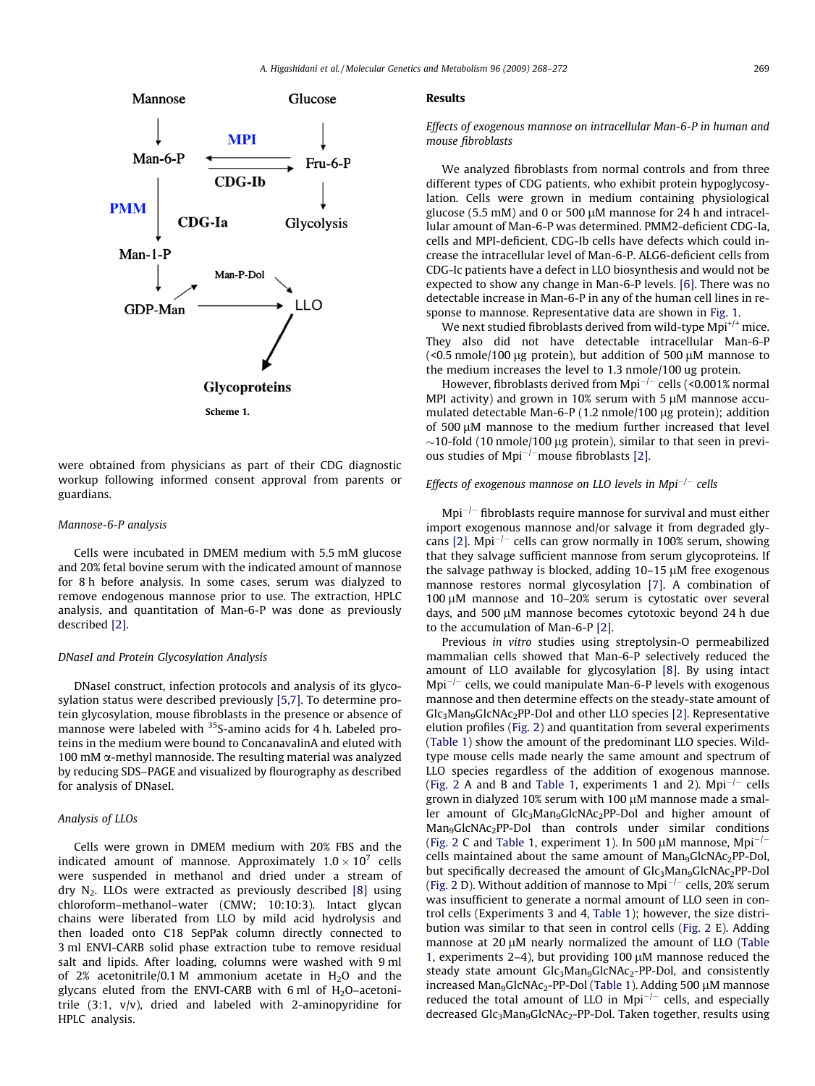<span id="page-1-0"></span>

were obtained from physicians as part of their CDG diagnostic workup following informed consent approval from parents or guardians.

## Mannose-6-P analysis

Cells were incubated in DMEM medium with 5.5 mM glucose and 20% fetal bovine serum with the indicated amount of mannose for 8 h before analysis. In some cases, serum was dialyzed to remove endogenous mannose prior to use. The extraction, HPLC analysis, and quantitation of Man-6-P was done as previously described [\[2\]](#page-4-0).

#### DNaseI and Protein Glycosylation Analysis

DNaseI construct, infection protocols and analysis of its glycosylation status were described previously [\[5,7\].](#page-4-0) To determine protein glycosylation, mouse fibroblasts in the presence or absence of mannose were labeled with <sup>35</sup>S-amino acids for 4 h. Labeled proteins in the medium were bound to ConcanavalinA and eluted with 100 mM  $\alpha$ -methyl mannoside. The resulting material was analyzed by reducing SDS–PAGE and visualized by flourography as described for analysis of DNaseI.

## Analysis of LLOs

Cells were grown in DMEM medium with 20% FBS and the indicated amount of mannose. Approximately  $1.0 \times 10^7$  cells were suspended in methanol and dried under a stream of dry  $N<sub>2</sub>$ . LLOs were extracted as previously described [\[8\]](#page-4-0) using chloroform–methanol–water (CMW; 10:10:3). Intact glycan chains were liberated from LLO by mild acid hydrolysis and then loaded onto C18 SepPak column directly connected to 3 ml ENVI-CARB solid phase extraction tube to remove residual salt and lipids. After loading, columns were washed with 9 ml of 2% acetonitrile/0.1 M ammonium acetate in  $H_2O$  and the glycans eluted from the ENVI-CARB with 6 ml of  $H_2O$ -acetonitrile (3:1, v/v), dried and labeled with 2-aminopyridine for HPLC analysis.

#### Results

Effects of exogenous mannose on intracellular Man-6-P in human and mouse fibroblasts

We analyzed fibroblasts from normal controls and from three different types of CDG patients, who exhibit protein hypoglycosylation. Cells were grown in medium containing physiological glucose (5.5 mM) and 0 or 500  $\mu$ M mannose for 24 h and intracellular amount of Man-6-P was determined. PMM2-deficient CDG-Ia, cells and MPI-deficient, CDG-Ib cells have defects which could increase the intracellular level of Man-6-P. ALG6-deficient cells from CDG-Ic patients have a defect in LLO biosynthesis and would not be expected to show any change in Man-6-P levels. [\[6\].](#page-4-0) There was no detectable increase in Man-6-P in any of the human cell lines in response to mannose. Representative data are shown in [Fig. 1.](#page-2-0)

We next studied fibroblasts derived from wild-type  $Mpi^{+/-}$  mice. They also did not have detectable intracellular Man-6-P (<0.5 nmole/100  $\mu$ g protein), but addition of 500  $\mu$ M mannose to the medium increases the level to 1.3 nmole/100 ug protein.

However, fibroblasts derived from Mpi<sup>-/-</sup> cells (<0.001% normal MPI activity) and grown in 10% serum with 5  $\mu$ M mannose accumulated detectable Man-6-P  $(1.2 \text{ nmole}/100 \mu g \text{ protein})$ ; addition of 500 uM mannose to the medium further increased that level  $\sim$ 10-fold (10 nmole/100 µg protein), similar to that seen in previ-ous studies of Mpi<sup>-/-</sup>mouse fibroblasts [\[2\].](#page-4-0)

## Effects of exogenous mannose on LLO levels in Mpi<sup>-/-</sup> cells

 $Mpi^{-/-}$  fibroblasts require mannose for survival and must either import exogenous mannose and/or salvage it from degraded gly-cans [\[2\].](#page-4-0) Mpi<sup> $-l$ </sup> cells can grow normally in 100% serum, showing that they salvage sufficient mannose from serum glycoproteins. If the salvage pathway is blocked, adding  $10-15 \mu$ M free exogenous mannose restores normal glycosylation [\[7\].](#page-4-0) A combination of 100  $\mu$ M mannose and 10–20% serum is cytostatic over several days, and 500 µM mannose becomes cytotoxic beyond 24 h due to the accumulation of Man-6-P [\[2\].](#page-4-0)

Previous in vitro studies using streptolysin-O permeabilized mammalian cells showed that Man-6-P selectively reduced the amount of LLO available for glycosylation [\[8\]](#page-4-0). By using intact  $Mpi^{-/-}$  cells, we could manipulate Man-6-P levels with exogenous mannose and then determine effects on the steady-state amount of Glc3Man9GlcNAc2PP-Dol and other LLO species [\[2\]](#page-4-0). Representative elution profiles [\(Fig. 2\)](#page-3-0) and quantitation from several experiments ([Table 1](#page-3-0)) show the amount of the predominant LLO species. Wildtype mouse cells made nearly the same amount and spectrum of LLO species regardless of the addition of exogenous mannose. ([Fig. 2](#page-3-0) A and B and [Table 1,](#page-3-0) experiments 1 and 2). Mpi<sup> $-/-$ </sup> cells grown in dialyzed 10% serum with 100  $\mu$ M mannose made a smaller amount of Glc<sub>3</sub>Man<sub>9</sub>GlcNAc<sub>2</sub>PP-Dol and higher amount of Man<sub>9</sub>GlcNAc<sub>2</sub>PP-Dol than controls under similar conditions ([Fig. 2](#page-3-0) C and [Table 1](#page-3-0), experiment 1). In 500  $\mu$ M mannose, Mpi<sup>-/-</sup> cells maintained about the same amount of  $Man_9GlcNAc_2PP-DoI$ , but specifically decreased the amount of Glc<sub>3</sub>Man<sub>9</sub>GlcNAc<sub>2</sub>PP-Dol ([Fig. 2](#page-3-0) D). Without addition of mannose to Mpi<sup> $-/-$ </sup> cells, 20% serum was insufficient to generate a normal amount of LLO seen in control cells (Experiments 3 and 4, [Table 1\)](#page-3-0); however, the size distribution was similar to that seen in control cells [\(Fig. 2](#page-3-0) E). Adding mannose at 20 µM nearly normalized the amount of LLO [\(Table](#page-3-0) [1](#page-3-0), experiments 2–4), but providing 100  $\mu$ M mannose reduced the steady state amount  $Glc<sub>3</sub>Man<sub>9</sub>GlcNAc<sub>2</sub>-PP-Dol$ , and consistently increased Man<sub>9</sub>GlcNAc<sub>2</sub>-PP-Dol [\(Table 1](#page-3-0)). Adding 500 µM mannose reduced the total amount of LLO in Mpi<sup> $-/-$ </sup> cells, and especially decreased Glc<sub>3</sub>Man<sub>9</sub>GlcNAc<sub>2</sub>-PP-Dol. Taken together, results using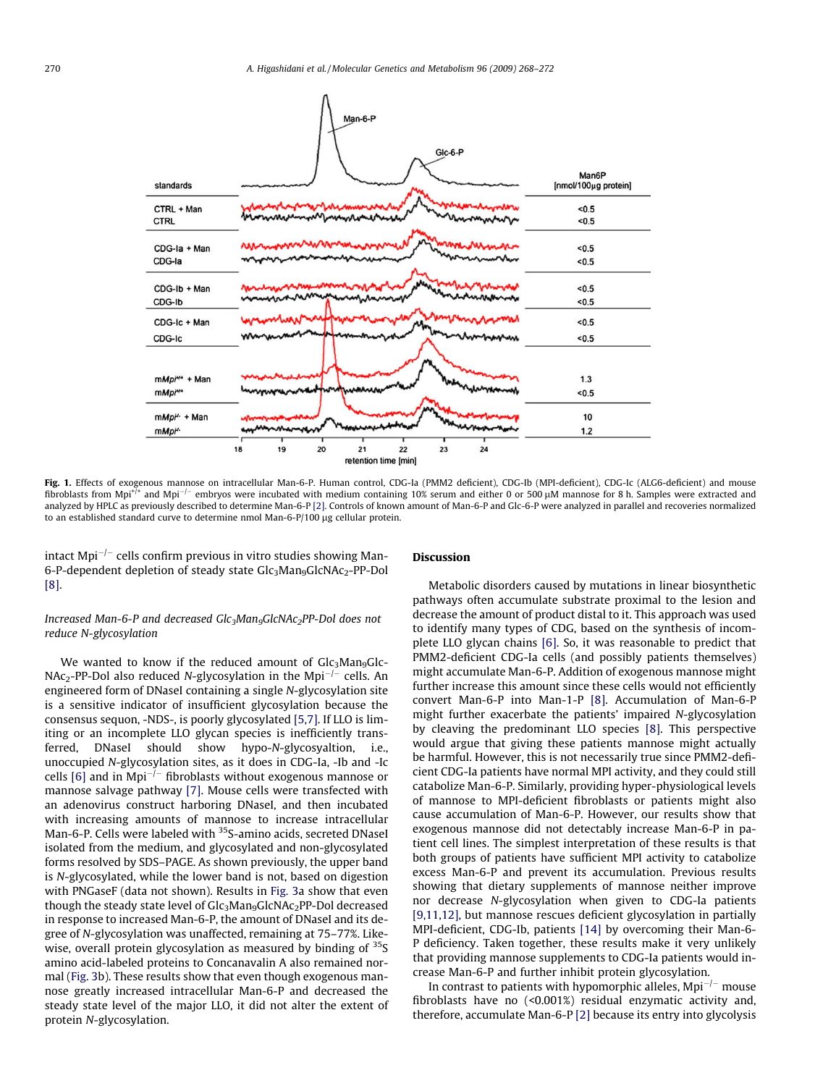<span id="page-2-0"></span>

Fig. 1. Effects of exogenous mannose on intracellular Man-6-P. Human control, CDG-Ia (PMM2 deficient), CDG-Ib (MPI-deficient), CDG-Ic (ALG6-deficient) and mouse fibroblasts from Mpi<sup>+/+</sup> and Mpi<sup>-/-</sup> embryos were incubated with medium containing 10% serum and either 0 or 500  $\mu$ M mannose for 8 h. Samples were extracted and analyzed by HPLC as previously described to determine Man-6-P [\[2\]](#page-4-0). Controls of known amount of Man-6-P and Glc-6-P were analyzed in parallel and recoveries normalized to an established standard curve to determine nmol Man-6-P/100 µg cellular protein.

intact Mpi $^{-/-}$  cells confirm previous in vitro studies showing Man-6-P-dependent depletion of steady state Glc<sub>3</sub>Man<sub>9</sub>GlcNAc<sub>2</sub>-PP-Dol [\[8\]](#page-4-0).

## Increased Man-6-P and decreased  $Glc_3Man_9GlcNAc_2PP-Dol$  does not reduce N-glycosylation

We wanted to know if the reduced amount of  $\text{Glc}_3\text{Man}_9\text{Glc}_2$  $NAc_2-PP-Dol$  also reduced N-glycosylation in the Mpi<sup>-/-</sup> cells. An engineered form of DNaseI containing a single N-glycosylation site is a sensitive indicator of insufficient glycosylation because the consensus sequon, -NDS-, is poorly glycosylated [\[5,7\]](#page-4-0). If LLO is limiting or an incomplete LLO glycan species is inefficiently transferred, DNaseI should show hypo-N-glycosyaltion, i.e., unoccupied N-glycosylation sites, as it does in CDG-Ia, -Ib and -Ic cells  $[6]$  and in Mpi<sup>- $j$ -</sup> fibroblasts without exogenous mannose or mannose salvage pathway [\[7\].](#page-4-0) Mouse cells were transfected with an adenovirus construct harboring DNaseI, and then incubated with increasing amounts of mannose to increase intracellular Man-6-P. Cells were labeled with <sup>35</sup>S-amino acids, secreted DNaseI isolated from the medium, and glycosylated and non-glycosylated forms resolved by SDS–PAGE. As shown previously, the upper band is N-glycosylated, while the lower band is not, based on digestion with PNGaseF (data not shown). Results in [Fig. 3](#page-4-0)a show that even though the steady state level of Glc<sub>3</sub>Man<sub>9</sub>GlcNAc<sub>2</sub>PP-Dol decreased in response to increased Man-6-P, the amount of DNaseI and its degree of N-glycosylation was unaffected, remaining at 75–77%. Likewise, overall protein glycosylation as measured by binding of <sup>35</sup>S amino acid-labeled proteins to Concanavalin A also remained normal ([Fig. 3b](#page-4-0)). These results show that even though exogenous mannose greatly increased intracellular Man-6-P and decreased the steady state level of the major LLO, it did not alter the extent of protein N-glycosylation.

## Discussion

Metabolic disorders caused by mutations in linear biosynthetic pathways often accumulate substrate proximal to the lesion and decrease the amount of product distal to it. This approach was used to identify many types of CDG, based on the synthesis of incomplete LLO glycan chains [\[6\].](#page-4-0) So, it was reasonable to predict that PMM2-deficient CDG-Ia cells (and possibly patients themselves) might accumulate Man-6-P. Addition of exogenous mannose might further increase this amount since these cells would not efficiently convert Man-6-P into Man-1-P [\[8\].](#page-4-0) Accumulation of Man-6-P might further exacerbate the patients' impaired N-glycosylation by cleaving the predominant LLO species [\[8\].](#page-4-0) This perspective would argue that giving these patients mannose might actually be harmful. However, this is not necessarily true since PMM2-deficient CDG-Ia patients have normal MPI activity, and they could still catabolize Man-6-P. Similarly, providing hyper-physiological levels of mannose to MPI-deficient fibroblasts or patients might also cause accumulation of Man-6-P. However, our results show that exogenous mannose did not detectably increase Man-6-P in patient cell lines. The simplest interpretation of these results is that both groups of patients have sufficient MPI activity to catabolize excess Man-6-P and prevent its accumulation. Previous results showing that dietary supplements of mannose neither improve nor decrease N-glycosylation when given to CDG-Ia patients [\[9,11,12\]](#page-4-0), but mannose rescues deficient glycosylation in partially MPI-deficient, CDG-Ib, patients [\[14\]](#page-4-0) by overcoming their Man-6- P deficiency. Taken together, these results make it very unlikely that providing mannose supplements to CDG-Ia patients would increase Man-6-P and further inhibit protein glycosylation.

In contrast to patients with hypomorphic alleles,  $Mpi^{-/-}$  mouse fibroblasts have no (<0.001%) residual enzymatic activity and, therefore, accumulate Man-6-P [\[2\]](#page-4-0) because its entry into glycolysis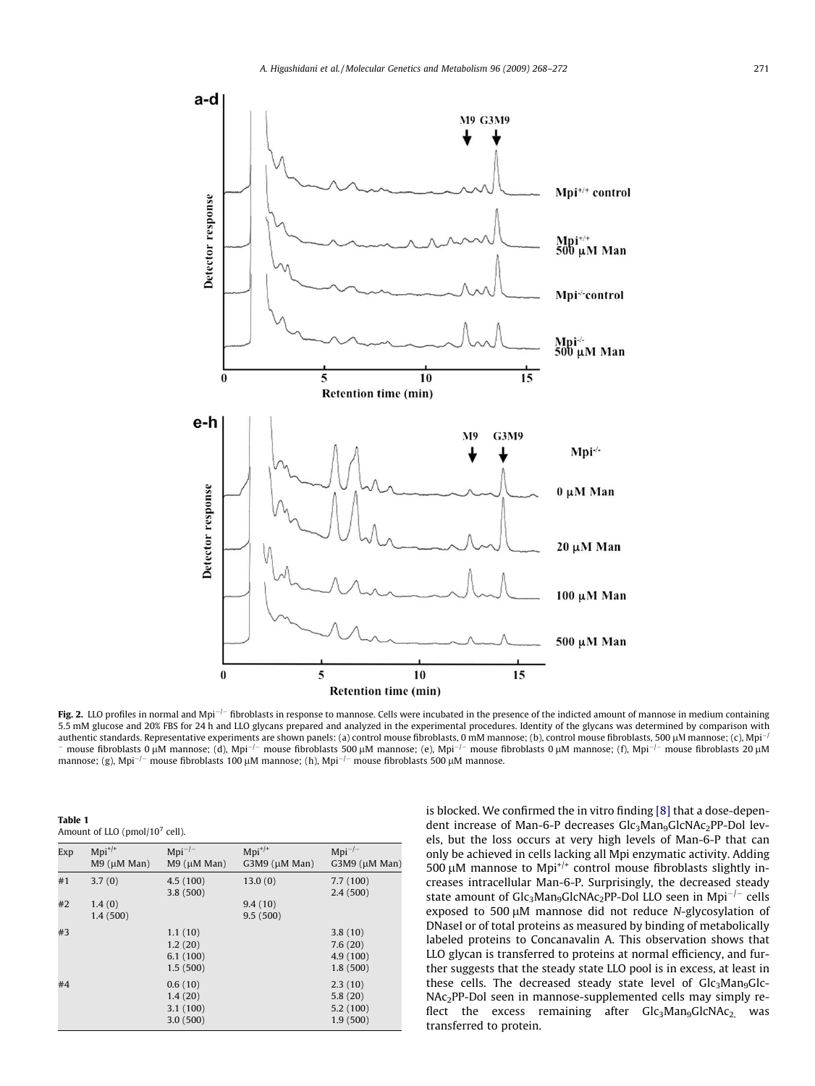<span id="page-3-0"></span>

Fig. 2. LLO profiles in normal and Mpi<sup>-/-</sup> fibroblasts in response to mannose. Cells were incubated in the presence of the indicted amount of mannose in medium containing 5.5 mM glucose and 20% FBS for 24 h and LLO glycans prepared and analyzed in the experimental procedures. Identity of the glycans was determined by comparison with authentic standards. Representative experiments are shown panels: (a) control mouse fibroblasts, 0 mM mannose; (b), control mouse fibroblasts, 500 µM mannose; (c), Mpi<sup>-/</sup> mouse fibroblasts 0 µM mannose; (d), Mpi<sup>-/-</sup> mouse fibroblasts 500 µM mannose; (e), Mpi<sup>-/-</sup> mouse fibroblasts 0 µM mannose; (f), Mpi<sup>-/-</sup> mouse fibroblasts 20 µM mannose; (g), Mpi<sup>-/-</sup> mouse fibroblasts 100 µM mannose; (h), Mpi<sup>-/-</sup> mouse fibroblasts 500 µM mannose.

| Table 1                                    |  |
|--------------------------------------------|--|
| Amount of LLO (pmol/10 <sup>7</sup> cell). |  |

 $\overline{a}$   $\overline{a}$  1

| Exp | $Mpi^{+/+}$<br>$M9$ ( $\mu$ M Man) | $Mpi^{-/-}$<br>$M9$ ( $\mu$ M Man)         | $Mpi^{+/+}$<br>G3M9 (µM Man) | $Mpi^{-/-}$<br>$G3M9$ ( $\mu$ M Man)       |
|-----|------------------------------------|--------------------------------------------|------------------------------|--------------------------------------------|
| #1  | 3.7(0)                             | 4.5(100)<br>3.8(500)                       | 13.0(0)                      | 7.7(100)<br>2.4(500)                       |
| #2  | 1.4(0)<br>1.4(500)                 |                                            | 9.4(10)<br>9.5(500)          |                                            |
| #3  |                                    | 1.1(10)<br>1.2(20)<br>6.1(100)<br>1.5(500) |                              | 3.8(10)<br>7.6(20)<br>4.9(100)<br>1.8(500) |
| #4  |                                    | 0.6(10)<br>1.4(20)<br>3.1(100)<br>3.0(500) |                              | 2.3(10)<br>5.8(20)<br>5.2(100)<br>1.9(500) |

is blocked. We confirmed the in vitro finding [\[8\]](#page-4-0) that a dose-dependent increase of Man-6-P decreases Glc<sub>3</sub>Man<sub>9</sub>GlcNAc<sub>2</sub>PP-Dol levels, but the loss occurs at very high levels of Man-6-P that can only be achieved in cells lacking all Mpi enzymatic activity. Adding 500  $\mu$ M mannose to Mpi<sup>+/+</sup> control mouse fibroblasts slightly increases intracellular Man-6-P. Surprisingly, the decreased steady state amount of  $\text{Glc}_3\text{Man}_9\text{Glc}_2\text{PP-Dol}$  LLO seen in Mpi<sup>-/-</sup> cells exposed to 500  $\mu$ M mannose did not reduce N-glycosylation of DNaseI or of total proteins as measured by binding of metabolically labeled proteins to Concanavalin A. This observation shows that LLO glycan is transferred to proteins at normal efficiency, and further suggests that the steady state LLO pool is in excess, at least in these cells. The decreased steady state level of  $\mathrm{Glc}_3\mathrm{Man}_9\mathrm{Glc}_2$ NAc2PP-Dol seen in mannose-supplemented cells may simply reflect the excess remaining after  $Glc<sub>3</sub>Man<sub>9</sub>GlcNAc<sub>2</sub>$  was transferred to protein.